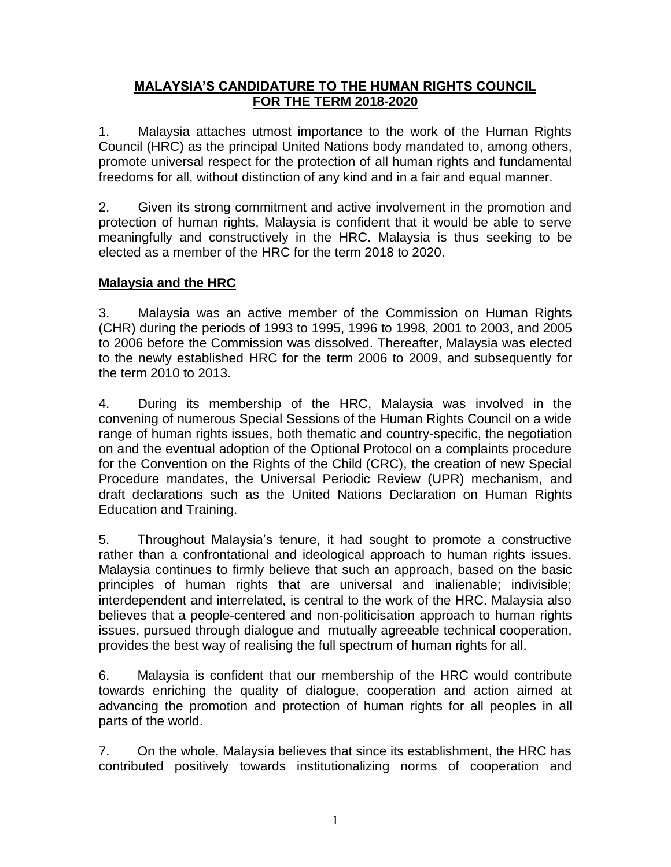### **MALAYSIA'S CANDIDATURE TO THE HUMAN RIGHTS COUNCIL FOR THE TERM 2018-2020**

1. Malaysia attaches utmost importance to the work of the Human Rights Council (HRC) as the principal United Nations body mandated to, among others, promote universal respect for the protection of all human rights and fundamental freedoms for all, without distinction of any kind and in a fair and equal manner.

2. Given its strong commitment and active involvement in the promotion and protection of human rights, Malaysia is confident that it would be able to serve meaningfully and constructively in the HRC. Malaysia is thus seeking to be elected as a member of the HRC for the term 2018 to 2020.

# **Malaysia and the HRC**

3. Malaysia was an active member of the Commission on Human Rights (CHR) during the periods of 1993 to 1995, 1996 to 1998, 2001 to 2003, and 2005 to 2006 before the Commission was dissolved. Thereafter, Malaysia was elected to the newly established HRC for the term 2006 to 2009, and subsequently for the term 2010 to 2013.

4. During its membership of the HRC, Malaysia was involved in the convening of numerous Special Sessions of the Human Rights Council on a wide range of human rights issues, both thematic and country-specific, the negotiation on and the eventual adoption of the Optional Protocol on a complaints procedure for the Convention on the Rights of the Child (CRC), the creation of new Special Procedure mandates, the Universal Periodic Review (UPR) mechanism, and draft declarations such as the United Nations Declaration on Human Rights Education and Training.

5. Throughout Malaysia's tenure, it had sought to promote a constructive rather than a confrontational and ideological approach to human rights issues. Malaysia continues to firmly believe that such an approach, based on the basic principles of human rights that are universal and inalienable; indivisible; interdependent and interrelated, is central to the work of the HRC. Malaysia also believes that a people-centered and non-politicisation approach to human rights issues, pursued through dialogue and mutually agreeable technical cooperation, provides the best way of realising the full spectrum of human rights for all.

6. Malaysia is confident that our membership of the HRC would contribute towards enriching the quality of dialogue, cooperation and action aimed at advancing the promotion and protection of human rights for all peoples in all parts of the world.

7. On the whole, Malaysia believes that since its establishment, the HRC has contributed positively towards institutionalizing norms of cooperation and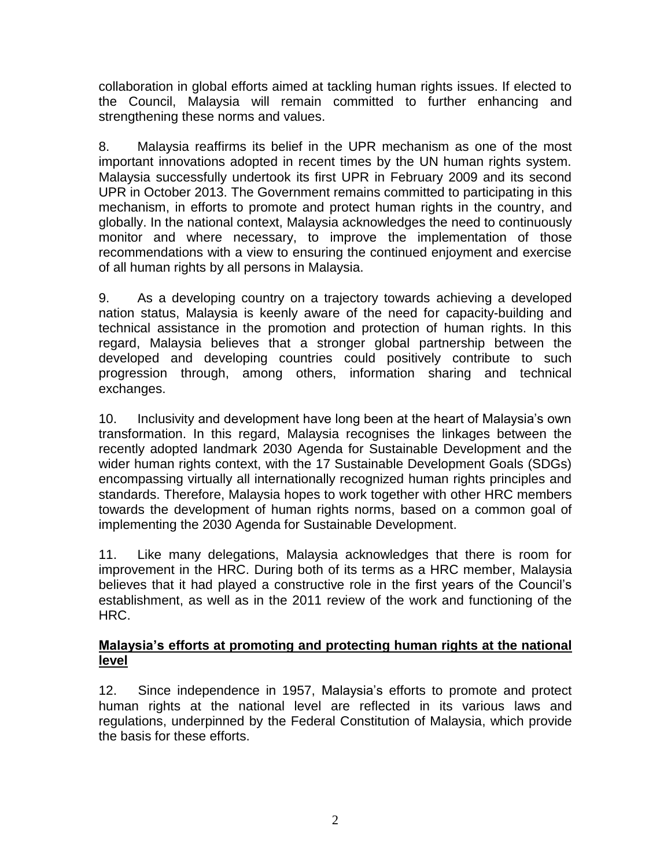collaboration in global efforts aimed at tackling human rights issues. If elected to the Council, Malaysia will remain committed to further enhancing and strengthening these norms and values.

8. Malaysia reaffirms its belief in the UPR mechanism as one of the most important innovations adopted in recent times by the UN human rights system. Malaysia successfully undertook its first UPR in February 2009 and its second UPR in October 2013. The Government remains committed to participating in this mechanism, in efforts to promote and protect human rights in the country, and globally. In the national context, Malaysia acknowledges the need to continuously monitor and where necessary, to improve the implementation of those recommendations with a view to ensuring the continued enjoyment and exercise of all human rights by all persons in Malaysia.

9. As a developing country on a trajectory towards achieving a developed nation status, Malaysia is keenly aware of the need for capacity-building and technical assistance in the promotion and protection of human rights. In this regard, Malaysia believes that a stronger global partnership between the developed and developing countries could positively contribute to such progression through, among others, information sharing and technical exchanges.

10. Inclusivity and development have long been at the heart of Malaysia's own transformation. In this regard, Malaysia recognises the linkages between the recently adopted landmark 2030 Agenda for Sustainable Development and the wider human rights context, with the 17 Sustainable Development Goals (SDGs) encompassing virtually all internationally recognized human rights principles and standards. Therefore, Malaysia hopes to work together with other HRC members towards the development of human rights norms, based on a common goal of implementing the 2030 Agenda for Sustainable Development.

11. Like many delegations, Malaysia acknowledges that there is room for improvement in the HRC. During both of its terms as a HRC member, Malaysia believes that it had played a constructive role in the first years of the Council's establishment, as well as in the 2011 review of the work and functioning of the HRC.

#### **Malaysia's efforts at promoting and protecting human rights at the national level**

12. Since independence in 1957, Malaysia's efforts to promote and protect human rights at the national level are reflected in its various laws and regulations, underpinned by the Federal Constitution of Malaysia, which provide the basis for these efforts.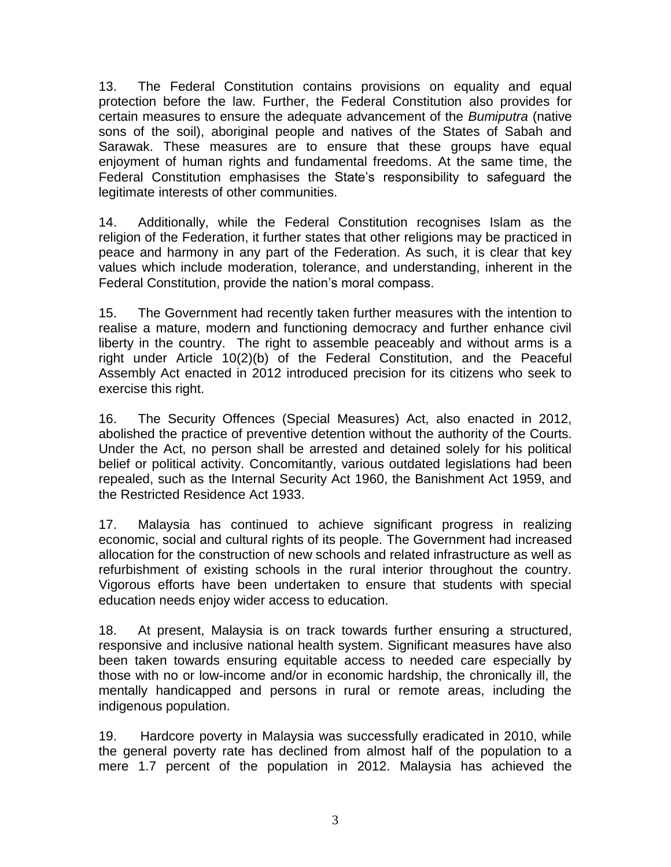13. The Federal Constitution contains provisions on equality and equal protection before the law. Further, the Federal Constitution also provides for certain measures to ensure the adequate advancement of the *Bumiputra* (native sons of the soil), aboriginal people and natives of the States of Sabah and Sarawak. These measures are to ensure that these groups have equal enjoyment of human rights and fundamental freedoms. At the same time, the Federal Constitution emphasises the State's responsibility to safeguard the legitimate interests of other communities.

14. Additionally, while the Federal Constitution recognises Islam as the religion of the Federation, it further states that other religions may be practiced in peace and harmony in any part of the Federation. As such, it is clear that key values which include moderation, tolerance, and understanding, inherent in the Federal Constitution, provide the nation's moral compass.

15. The Government had recently taken further measures with the intention to realise a mature, modern and functioning democracy and further enhance civil liberty in the country. The right to assemble peaceably and without arms is a right under Article 10(2)(b) of the Federal Constitution, and the Peaceful Assembly Act enacted in 2012 introduced precision for its citizens who seek to exercise this right.

16. The Security Offences (Special Measures) Act, also enacted in 2012, abolished the practice of preventive detention without the authority of the Courts. Under the Act, no person shall be arrested and detained solely for his political belief or political activity. Concomitantly, various outdated legislations had been repealed, such as the Internal Security Act 1960, the Banishment Act 1959, and the Restricted Residence Act 1933.

17. Malaysia has continued to achieve significant progress in realizing economic, social and cultural rights of its people. The Government had increased allocation for the construction of new schools and related infrastructure as well as refurbishment of existing schools in the rural interior throughout the country. Vigorous efforts have been undertaken to ensure that students with special education needs enjoy wider access to education.

18. At present, Malaysia is on track towards further ensuring a structured, responsive and inclusive national health system. Significant measures have also been taken towards ensuring equitable access to needed care especially by those with no or low-income and/or in economic hardship, the chronically ill, the mentally handicapped and persons in rural or remote areas, including the indigenous population.

19. Hardcore poverty in Malaysia was successfully eradicated in 2010, while the general poverty rate has declined from almost half of the population to a mere 1.7 percent of the population in 2012. Malaysia has achieved the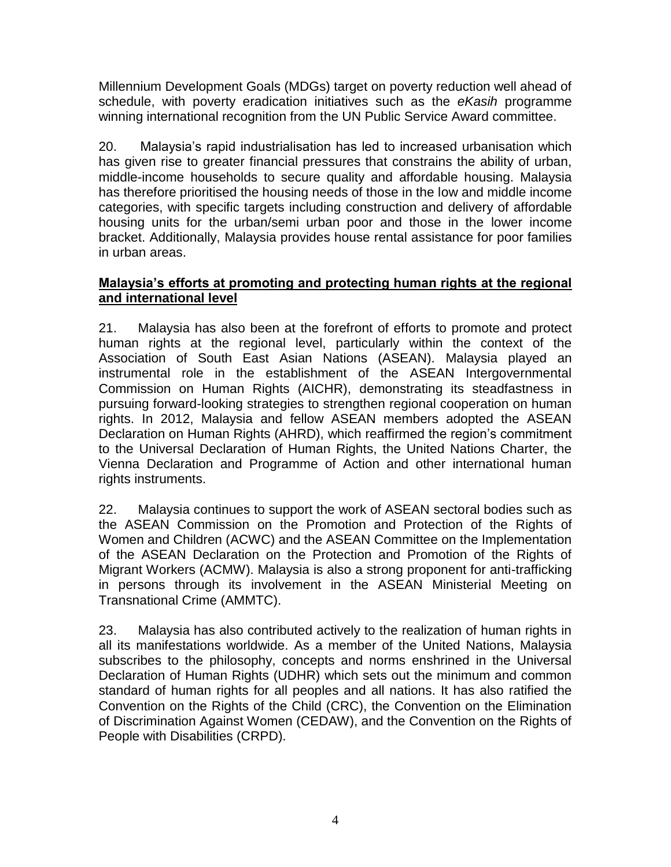Millennium Development Goals (MDGs) target on poverty reduction well ahead of schedule, with poverty eradication initiatives such as the *eKasih* programme winning international recognition from the UN Public Service Award committee.

20. Malaysia's rapid industrialisation has led to increased urbanisation which has given rise to greater financial pressures that constrains the ability of urban, middle-income households to secure quality and affordable housing. Malaysia has therefore prioritised the housing needs of those in the low and middle income categories, with specific targets including construction and delivery of affordable housing units for the urban/semi urban poor and those in the lower income bracket. Additionally, Malaysia provides house rental assistance for poor families in urban areas.

## **Malaysia's efforts at promoting and protecting human rights at the regional and international level**

21. Malaysia has also been at the forefront of efforts to promote and protect human rights at the regional level, particularly within the context of the Association of South East Asian Nations (ASEAN). Malaysia played an instrumental role in the establishment of the ASEAN Intergovernmental Commission on Human Rights (AICHR), demonstrating its steadfastness in pursuing forward-looking strategies to strengthen regional cooperation on human rights. In 2012, Malaysia and fellow ASEAN members adopted the ASEAN Declaration on Human Rights (AHRD), which reaffirmed the region's commitment to the Universal Declaration of Human Rights, the United Nations Charter, the Vienna Declaration and Programme of Action and other international human rights instruments.

22. Malaysia continues to support the work of ASEAN sectoral bodies such as the ASEAN Commission on the Promotion and Protection of the Rights of Women and Children (ACWC) and the ASEAN Committee on the Implementation of the ASEAN Declaration on the Protection and Promotion of the Rights of Migrant Workers (ACMW). Malaysia is also a strong proponent for anti-trafficking in persons through its involvement in the ASEAN Ministerial Meeting on Transnational Crime (AMMTC).

23. Malaysia has also contributed actively to the realization of human rights in all its manifestations worldwide. As a member of the United Nations, Malaysia subscribes to the philosophy, concepts and norms enshrined in the Universal Declaration of Human Rights (UDHR) which sets out the minimum and common standard of human rights for all peoples and all nations. It has also ratified the Convention on the Rights of the Child (CRC), the Convention on the Elimination of Discrimination Against Women (CEDAW), and the Convention on the Rights of People with Disabilities (CRPD).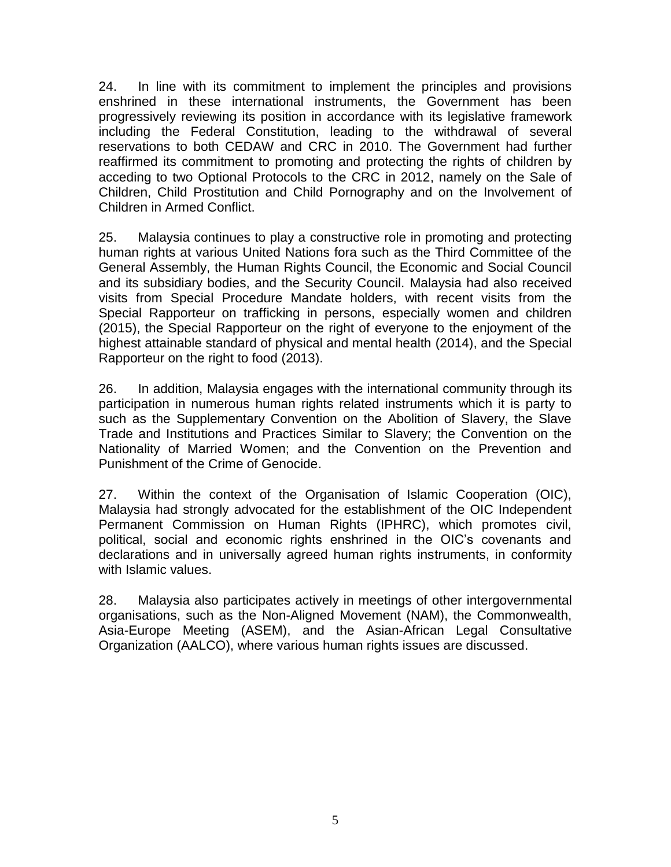24. In line with its commitment to implement the principles and provisions enshrined in these international instruments, the Government has been progressively reviewing its position in accordance with its legislative framework including the Federal Constitution, leading to the withdrawal of several reservations to both CEDAW and CRC in 2010. The Government had further reaffirmed its commitment to promoting and protecting the rights of children by acceding to two Optional Protocols to the CRC in 2012, namely on the Sale of Children, Child Prostitution and Child Pornography and on the Involvement of Children in Armed Conflict.

25. Malaysia continues to play a constructive role in promoting and protecting human rights at various United Nations fora such as the Third Committee of the General Assembly, the Human Rights Council, the Economic and Social Council and its subsidiary bodies, and the Security Council. Malaysia had also received visits from Special Procedure Mandate holders, with recent visits from the Special Rapporteur on trafficking in persons, especially women and children (2015), the Special Rapporteur on the right of everyone to the enjoyment of the highest attainable standard of physical and mental health (2014), and the Special Rapporteur on the right to food (2013).

26. In addition, Malaysia engages with the international community through its participation in numerous human rights related instruments which it is party to such as the Supplementary Convention on the Abolition of Slavery, the Slave Trade and Institutions and Practices Similar to Slavery; the Convention on the Nationality of Married Women; and the Convention on the Prevention and Punishment of the Crime of Genocide.

27. Within the context of the Organisation of Islamic Cooperation (OIC), Malaysia had strongly advocated for the establishment of the OIC Independent Permanent Commission on Human Rights (IPHRC), which promotes civil, political, social and economic rights enshrined in the OIC's covenants and declarations and in universally agreed human rights instruments, in conformity with Islamic values.

28. Malaysia also participates actively in meetings of other intergovernmental organisations, such as the Non-Aligned Movement (NAM), the Commonwealth, Asia-Europe Meeting (ASEM), and the Asian-African Legal Consultative Organization (AALCO), where various human rights issues are discussed.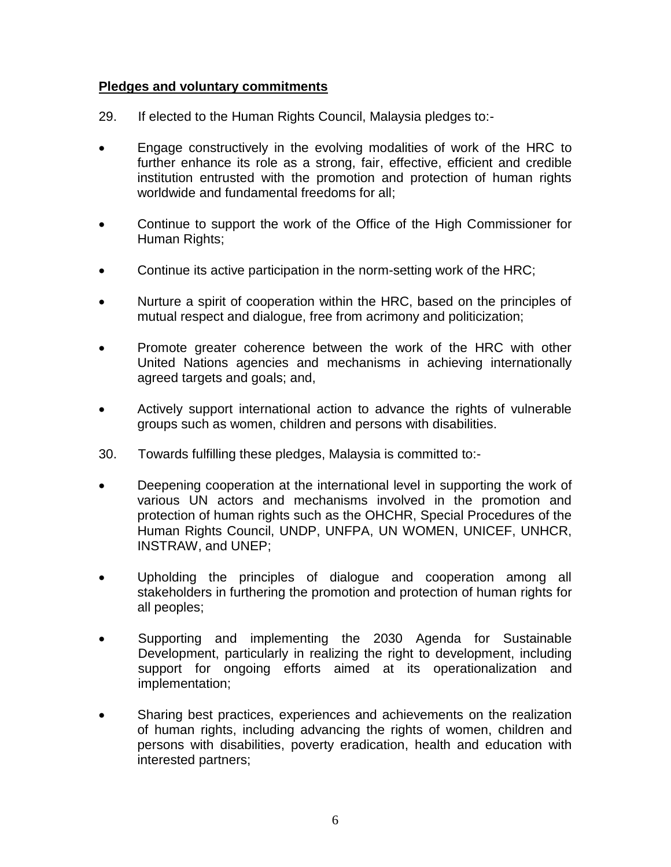#### **Pledges and voluntary commitments**

- 29. If elected to the Human Rights Council, Malaysia pledges to:-
- Engage constructively in the evolving modalities of work of the HRC to further enhance its role as a strong, fair, effective, efficient and credible institution entrusted with the promotion and protection of human rights worldwide and fundamental freedoms for all;
- Continue to support the work of the Office of the High Commissioner for Human Rights;
- Continue its active participation in the norm-setting work of the HRC;
- Nurture a spirit of cooperation within the HRC, based on the principles of mutual respect and dialogue, free from acrimony and politicization;
- Promote greater coherence between the work of the HRC with other United Nations agencies and mechanisms in achieving internationally agreed targets and goals; and,
- Actively support international action to advance the rights of vulnerable groups such as women, children and persons with disabilities.
- 30. Towards fulfilling these pledges, Malaysia is committed to:-
- Deepening cooperation at the international level in supporting the work of various UN actors and mechanisms involved in the promotion and protection of human rights such as the OHCHR, Special Procedures of the Human Rights Council, UNDP, UNFPA, UN WOMEN, UNICEF, UNHCR, INSTRAW, and UNEP;
- Upholding the principles of dialogue and cooperation among all stakeholders in furthering the promotion and protection of human rights for all peoples;
- Supporting and implementing the 2030 Agenda for Sustainable Development, particularly in realizing the right to development, including support for ongoing efforts aimed at its operationalization and implementation;
- Sharing best practices, experiences and achievements on the realization of human rights, including advancing the rights of women, children and persons with disabilities, poverty eradication, health and education with interested partners;